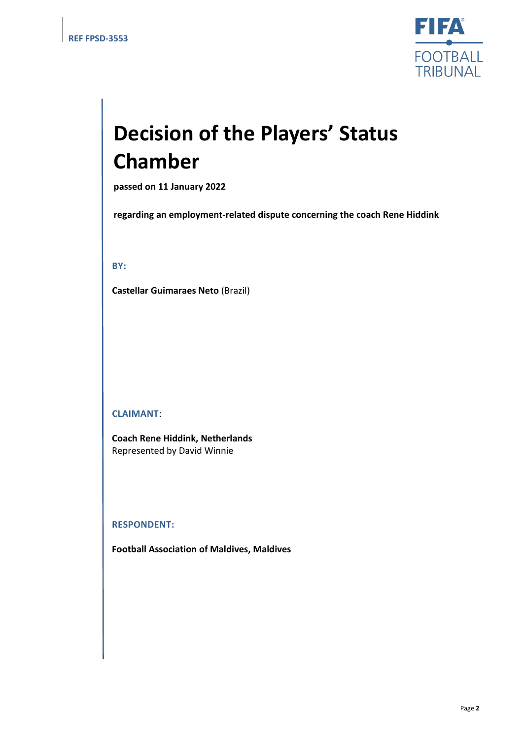

# **Decision of the Players' Status Chamber**

**passed on 11 January 2022**

**regarding an employment-related dispute concerning the coach Rene Hiddink**

**BY:**

**Castellar Guimaraes Neto** (Brazil)

**CLAIMANT**:

**Coach Rene Hiddink, Netherlands** Represented by David Winnie

#### **RESPONDENT:**

**Football Association of Maldives, Maldives**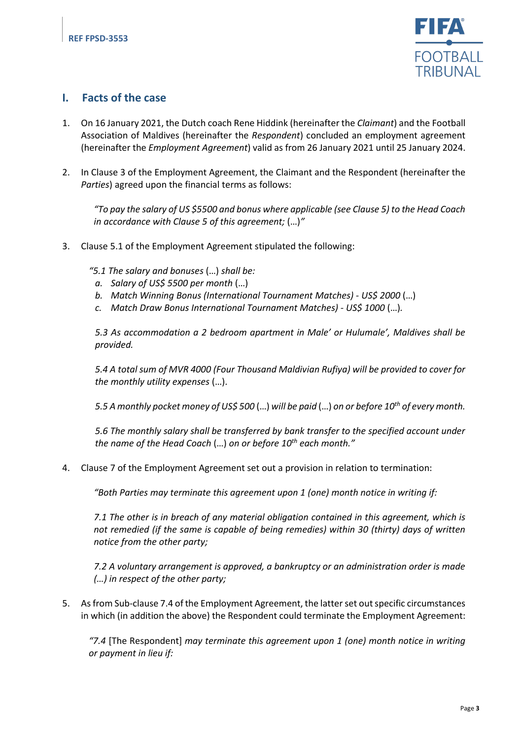

### **I. Facts of the case**

- 1. On 16 January 2021, the Dutch coach Rene Hiddink (hereinafter the *Claimant*) and the Football Association of Maldives (hereinafter the *Respondent*) concluded an employment agreement (hereinafter the *Employment Agreement*) valid as from 26 January 2021 until 25 January 2024.
- 2. In Clause 3 of the Employment Agreement, the Claimant and the Respondent (hereinafter the *Parties*) agreed upon the financial terms as follows:

*"To pay the salary of US \$5500 and bonus where applicable (see Clause 5) to the Head Coach in accordance with Clause 5 of this agreement;* (…)*"*

3. Clause 5.1 of the Employment Agreement stipulated the following:

*"5.1 The salary and bonuses* (…) *shall be:*

- *a. Salary of US\$ 5500 per month* (…)
- *b. Match Winning Bonus (International Tournament Matches) - US\$ 2000* (…)
- *c. Match Draw Bonus International Tournament Matches) - US\$ 1000* (…)*.*

*5.3 As accommodation a 2 bedroom apartment in Male' or Hulumale', Maldives shall be provided.*

*5.4 A total sum of MVR 4000 (Four Thousand Maldivian Rufiya) will be provided to cover for the monthly utility expenses* (…).

*5.5 A monthly pocket money of US\$ 500* (…) *will be paid* (…) *on or before 10th of every month.*

*5.6 The monthly salary shall be transferred by bank transfer to the specified account under the name of the Head Coach* (…) *on or before 10th each month."*

4. Clause 7 of the Employment Agreement set out a provision in relation to termination:

*"Both Parties may terminate this agreement upon 1 (one) month notice in writing if:*

*7.1 The other is in breach of any material obligation contained in this agreement, which is not remedied (if the same is capable of being remedies) within 30 (thirty) days of written notice from the other party;*

*7.2 A voluntary arrangement is approved, a bankruptcy or an administration order is made (…) in respect of the other party;*

5. As from Sub-clause 7.4 of the Employment Agreement, the latter set out specific circumstances in which (in addition the above) the Respondent could terminate the Employment Agreement:

*"7.4* [The Respondent] *may terminate this agreement upon 1 (one) month notice in writing or payment in lieu if:*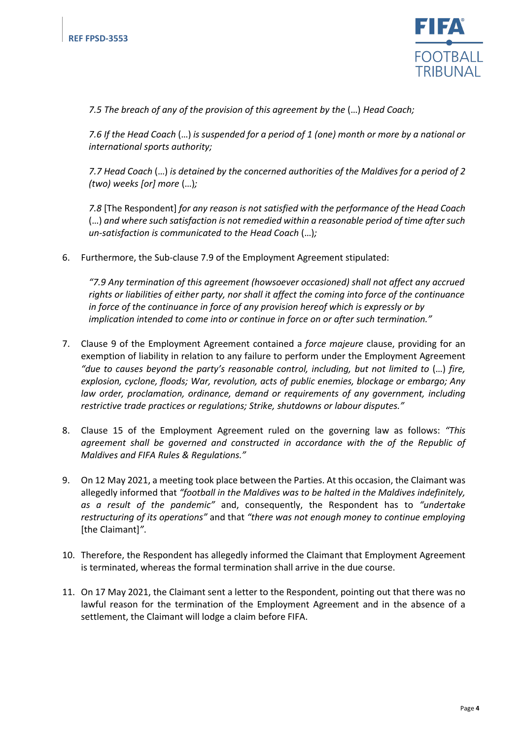

*7.5 The breach of any of the provision of this agreement by the* (…) *Head Coach;*

*7.6 If the Head Coach* (…) *is suspended for a period of 1 (one) month or more by a national or international sports authority;*

*7.7 Head Coach* (…) *is detained by the concerned authorities of the Maldives for a period of 2 (two) weeks [or] more* (…)*;*

*7.8* [The Respondent] *for any reason is not satisfied with the performance of the Head Coach*  (…) *and where such satisfaction is not remedied within a reasonable period of time after such un-satisfaction is communicated to the Head Coach* (…)*;*

6. Furthermore, the Sub-clause 7.9 of the Employment Agreement stipulated:

*"7.9 Any termination of this agreement (howsoever occasioned) shall not affect any accrued rights or liabilities of either party, nor shall it affect the coming into force of the continuance in force of the continuance in force of any provision hereof which is expressly or by implication intended to come into or continue in force on or after such termination."*

- 7. Clause 9 of the Employment Agreement contained a *force majeure* clause, providing for an exemption of liability in relation to any failure to perform under the Employment Agreement "due to causes beyond the party's reasonable control, including, but not limited to (...) fire, *explosion, cyclone, floods; War, revolution, acts of public enemies, blockage or embargo; Any law order, proclamation, ordinance, demand or requirements of any government, including restrictive trade practices or regulations; Strike, shutdowns or labour disputes."*
- 8. Clause 15 of the Employment Agreement ruled on the governing law as follows: *"This agreement shall be governed and constructed in accordance with the of the Republic of Maldives and FIFA Rules & Regulations."*
- 9. On 12 May 2021, a meeting took place between the Parties. At this occasion, the Claimant was allegedly informed that *"football in the Maldives was to be halted in the Maldives indefinitely, as a result of the pandemic"* and, consequently, the Respondent has to *"undertake restructuring of its operations"* and that *"there was not enough money to continue employing* [the Claimant]*"*.
- 10. Therefore, the Respondent has allegedly informed the Claimant that Employment Agreement is terminated, whereas the formal termination shall arrive in the due course.
- 11. On 17 May 2021, the Claimant sent a letter to the Respondent, pointing out that there was no lawful reason for the termination of the Employment Agreement and in the absence of a settlement, the Claimant will lodge a claim before FIFA.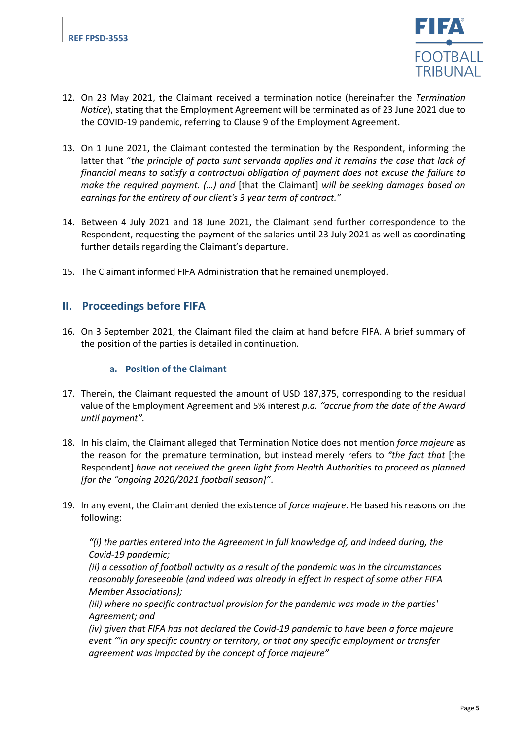

- 12. On 23 May 2021, the Claimant received a termination notice (hereinafter the *Termination Notice*), stating that the Employment Agreement will be terminated as of 23 June 2021 due to the COVID-19 pandemic, referring to Clause 9 of the Employment Agreement.
- 13. On 1 June 2021, the Claimant contested the termination by the Respondent, informing the latter that "*the principle of pacta sunt servanda applies and it remains the case that lack of financial means to satisfy a contractual obligation of payment does not excuse the failure to make the required payment. (…) and* [that the Claimant] *will be seeking damages based on earnings for the entirety of our client's 3 year term of contract."*
- 14. Between 4 July 2021 and 18 June 2021, the Claimant send further correspondence to the Respondent, requesting the payment of the salaries until 23 July 2021 as well as coordinating further details regarding the Claimant's departure.
- 15. The Claimant informed FIFA Administration that he remained unemployed.

## **II. Proceedings before FIFA**

16. On 3 September 2021, the Claimant filed the claim at hand before FIFA. A brief summary of the position of the parties is detailed in continuation.

#### **a. Position of the Claimant**

- 17. Therein, the Claimant requested the amount of USD 187,375, corresponding to the residual value of the Employment Agreement and 5% interest *p.a. "accrue from the date of the Award until payment".*
- 18. In his claim, the Claimant alleged that Termination Notice does not mention *force majeure* as the reason for the premature termination, but instead merely refers to *"the fact that* [the Respondent] *have not received the green light from Health Authorities to proceed as planned [for the "ongoing 2020/2021 football season]"*.
- 19. In any event, the Claimant denied the existence of *force majeure*. He based his reasons on the following:

*"(i) the parties entered into the Agreement in full knowledge of, and indeed during, the Covid-19 pandemic;*

*(ii) a cessation of football activity as a result of the pandemic was in the circumstances reasonably foreseeable (and indeed was already in effect in respect of some other FIFA Member Associations);*

*(iii) where no specific contractual provision for the pandemic was made in the parties' Agreement; and*

*(iv) given that FIFA has not declared the Covid-19 pandemic to have been a force majeure event "'in any specific country or territory, or that any specific employment or transfer agreement was impacted by the concept of force majeure"*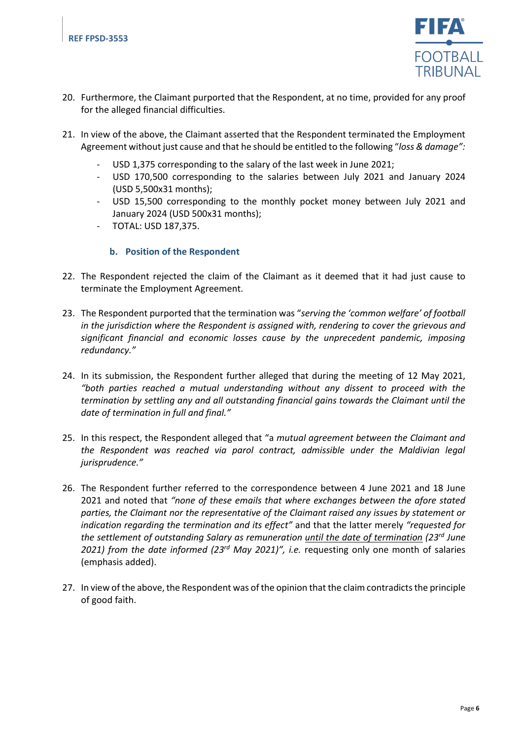

- 20. Furthermore, the Claimant purported that the Respondent, at no time, provided for any proof for the alleged financial difficulties.
- 21. In view of the above, the Claimant asserted that the Respondent terminated the Employment Agreement without just cause and that he should be entitled to the following "*loss & damage":*
	- USD 1,375 corresponding to the salary of the last week in June 2021;
	- USD 170,500 corresponding to the salaries between July 2021 and January 2024 (USD 5,500x31 months);
	- USD 15,500 corresponding to the monthly pocket money between July 2021 and January 2024 (USD 500x31 months);
	- TOTAL: USD 187,375.

#### **b. Position of the Respondent**

- 22. The Respondent rejected the claim of the Claimant as it deemed that it had just cause to terminate the Employment Agreement.
- 23. The Respondent purported that the termination was "*serving the 'common welfare' of football in the jurisdiction where the Respondent is assigned with, rendering to cover the grievous and significant financial and economic losses cause by the unprecedent pandemic, imposing redundancy."*
- 24. In its submission, the Respondent further alleged that during the meeting of 12 May 2021, *"both parties reached a mutual understanding without any dissent to proceed with the termination by settling any and all outstanding financial gains towards the Claimant until the date of termination in full and final."*
- 25. In this respect, the Respondent alleged that "a *mutual agreement between the Claimant and the Respondent was reached via parol contract, admissible under the Maldivian legal jurisprudence."*
- 26. The Respondent further referred to the correspondence between 4 June 2021 and 18 June 2021 and noted that *"none of these emails that where exchanges between the afore stated parties, the Claimant nor the representative of the Claimant raised any issues by statement or indication regarding the termination and its effect"* and that the latter merely *"requested for the settlement of outstanding Salary as remuneration until the date of termination (23rd June 2021) from the date informed (23rd May 2021)", i.e.* requesting only one month of salaries (emphasis added).
- 27. In view of the above, the Respondent was of the opinion that the claim contradicts the principle of good faith.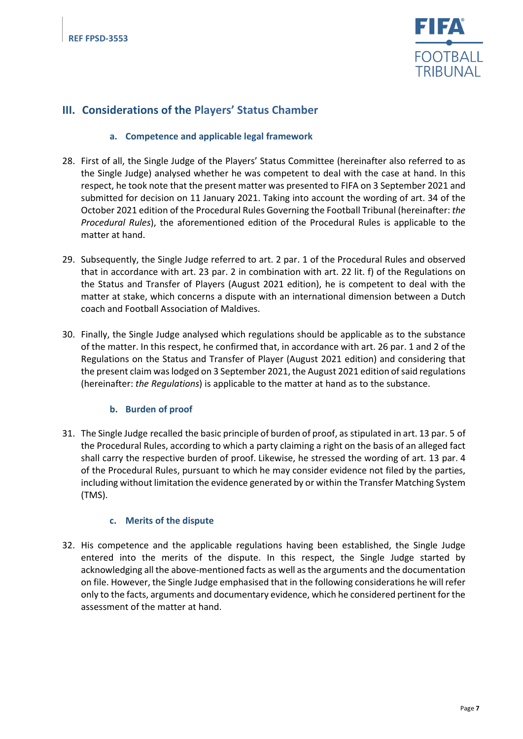

# **III. Considerations of the Players' Status Chamber**

#### **a. Competence and applicable legal framework**

- 28. First of all, the Single Judge of the Players' Status Committee (hereinafter also referred to as the Single Judge) analysed whether he was competent to deal with the case at hand. In this respect, he took note that the present matter was presented to FIFA on 3 September 2021 and submitted for decision on 11 January 2021. Taking into account the wording of art. 34 of the October 2021 edition of the Procedural Rules Governing the Football Tribunal (hereinafter: *the Procedural Rules*), the aforementioned edition of the Procedural Rules is applicable to the matter at hand.
- 29. Subsequently, the Single Judge referred to art. 2 par. 1 of the Procedural Rules and observed that in accordance with art. 23 par. 2 in combination with art. 22 lit. f) of the Regulations on the Status and Transfer of Players (August 2021 edition), he is competent to deal with the matter at stake, which concerns a dispute with an international dimension between a Dutch coach and Football Association of Maldives.
- 30. Finally, the Single Judge analysed which regulations should be applicable as to the substance of the matter. In this respect, he confirmed that, in accordance with art. 26 par. 1 and 2 of the Regulations on the Status and Transfer of Player (August 2021 edition) and considering that the present claim was lodged on 3 September 2021, the August 2021 edition of said regulations (hereinafter: *the Regulations*) is applicable to the matter at hand as to the substance.

#### **b. Burden of proof**

31. The Single Judge recalled the basic principle of burden of proof, as stipulated in art. 13 par. 5 of the Procedural Rules, according to which a party claiming a right on the basis of an alleged fact shall carry the respective burden of proof. Likewise, he stressed the wording of art. 13 par. 4 of the Procedural Rules, pursuant to which he may consider evidence not filed by the parties, including without limitation the evidence generated by or within the Transfer Matching System (TMS).

#### **c. Merits of the dispute**

32. His competence and the applicable regulations having been established, the Single Judge entered into the merits of the dispute. In this respect, the Single Judge started by acknowledging all the above-mentioned facts as well as the arguments and the documentation on file. However, the Single Judge emphasised that in the following considerations he will refer only to the facts, arguments and documentary evidence, which he considered pertinent for the assessment of the matter at hand.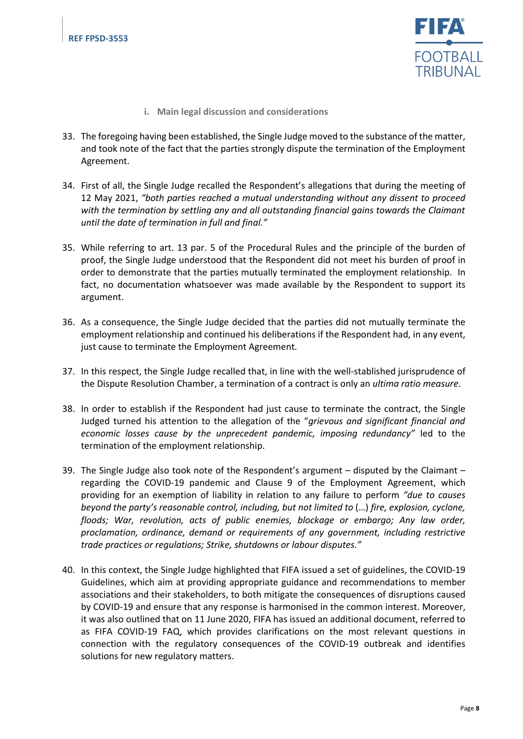

- **i. Main legal discussion and considerations**
- 33. The foregoing having been established, the Single Judge moved to the substance of the matter, and took note of the fact that the parties strongly dispute the termination of the Employment Agreement.
- 34. First of all, the Single Judge recalled the Respondent's allegations that during the meeting of 12 May 2021, *"both parties reached a mutual understanding without any dissent to proceed with the termination by settling any and all outstanding financial gains towards the Claimant until the date of termination in full and final."*
- 35. While referring to art. 13 par. 5 of the Procedural Rules and the principle of the burden of proof, the Single Judge understood that the Respondent did not meet his burden of proof in order to demonstrate that the parties mutually terminated the employment relationship. In fact, no documentation whatsoever was made available by the Respondent to support its argument.
- 36. As a consequence, the Single Judge decided that the parties did not mutually terminate the employment relationship and continued his deliberations if the Respondent had, in any event, just cause to terminate the Employment Agreement.
- 37. In this respect, the Single Judge recalled that, in line with the well-stablished jurisprudence of the Dispute Resolution Chamber, a termination of a contract is only an *ultima ratio measure*.
- 38. In order to establish if the Respondent had just cause to terminate the contract, the Single Judged turned his attention to the allegation of the "*grievous and significant financial and economic losses cause by the unprecedent pandemic, imposing redundancy"* led to the termination of the employment relationship.
- 39. The Single Judge also took note of the Respondent's argument disputed by the Claimant regarding the COVID-19 pandemic and Clause 9 of the Employment Agreement, which providing for an exemption of liability in relation to any failure to perform *"due to causes beyond the party's reasonable control, including, but not limited to* (…) *fire, explosion, cyclone, floods; War, revolution, acts of public enemies, blockage or embargo; Any law order, proclamation, ordinance, demand or requirements of any government, including restrictive trade practices or regulations; Strike, shutdowns or labour disputes."*
- 40. In this context, the Single Judge highlighted that FIFA issued a set of guidelines, the COVID-19 Guidelines, which aim at providing appropriate guidance and recommendations to member associations and their stakeholders, to both mitigate the consequences of disruptions caused by COVID-19 and ensure that any response is harmonised in the common interest. Moreover, it was also outlined that on 11 June 2020, FIFA has issued an additional document, referred to as FIFA COVID-19 FAQ, which provides clarifications on the most relevant questions in connection with the regulatory consequences of the COVID-19 outbreak and identifies solutions for new regulatory matters.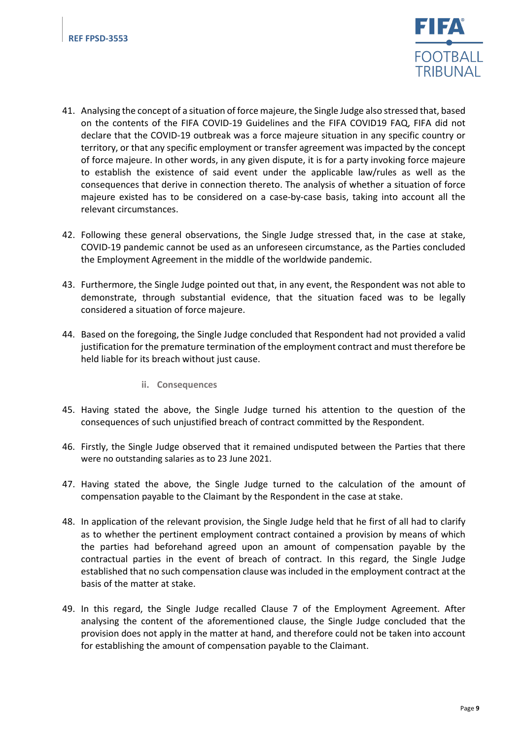

- 41. Analysing the concept of a situation of force majeure, the Single Judge also stressed that, based on the contents of the FIFA COVID-19 Guidelines and the FIFA COVID19 FAQ, FIFA did not declare that the COVID-19 outbreak was a force majeure situation in any specific country or territory, or that any specific employment or transfer agreement was impacted by the concept of force majeure. In other words, in any given dispute, it is for a party invoking force majeure to establish the existence of said event under the applicable law/rules as well as the consequences that derive in connection thereto. The analysis of whether a situation of force majeure existed has to be considered on a case-by-case basis, taking into account all the relevant circumstances.
- 42. Following these general observations, the Single Judge stressed that, in the case at stake, COVID-19 pandemic cannot be used as an unforeseen circumstance, as the Parties concluded the Employment Agreement in the middle of the worldwide pandemic.
- 43. Furthermore, the Single Judge pointed out that, in any event, the Respondent was not able to demonstrate, through substantial evidence, that the situation faced was to be legally considered a situation of force majeure.
- 44. Based on the foregoing, the Single Judge concluded that Respondent had not provided a valid justification for the premature termination of the employment contract and must therefore be held liable for its breach without just cause.
	- **ii. Consequences**
- 45. Having stated the above, the Single Judge turned his attention to the question of the consequences of such unjustified breach of contract committed by the Respondent.
- 46. Firstly, the Single Judge observed that it remained undisputed between the Parties that there were no outstanding salaries as to 23 June 2021.
- 47. Having stated the above, the Single Judge turned to the calculation of the amount of compensation payable to the Claimant by the Respondent in the case at stake.
- 48. In application of the relevant provision, the Single Judge held that he first of all had to clarify as to whether the pertinent employment contract contained a provision by means of which the parties had beforehand agreed upon an amount of compensation payable by the contractual parties in the event of breach of contract. In this regard, the Single Judge established that no such compensation clause was included in the employment contract at the basis of the matter at stake.
- 49. In this regard, the Single Judge recalled Clause 7 of the Employment Agreement. After analysing the content of the aforementioned clause, the Single Judge concluded that the provision does not apply in the matter at hand, and therefore could not be taken into account for establishing the amount of compensation payable to the Claimant.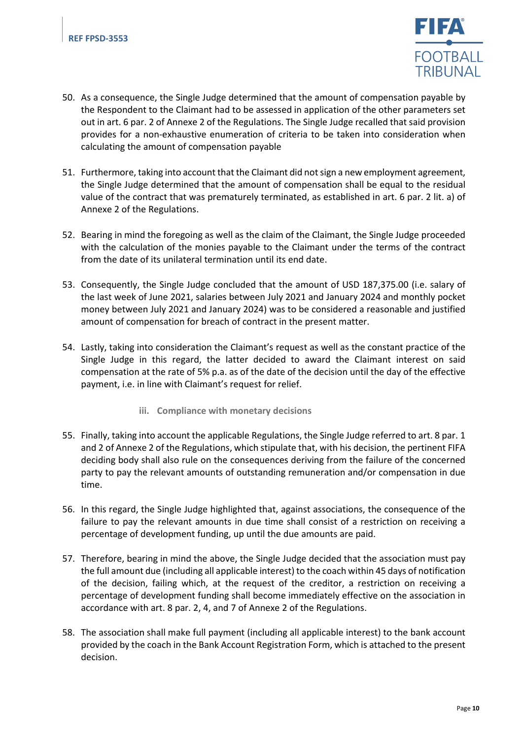

- 50. As a consequence, the Single Judge determined that the amount of compensation payable by the Respondent to the Claimant had to be assessed in application of the other parameters set out in art. 6 par. 2 of Annexe 2 of the Regulations. The Single Judge recalled that said provision provides for a non-exhaustive enumeration of criteria to be taken into consideration when calculating the amount of compensation payable
- 51. Furthermore, taking into account that the Claimant did not sign a new employment agreement, the Single Judge determined that the amount of compensation shall be equal to the residual value of the contract that was prematurely terminated, as established in art. 6 par. 2 lit. a) of Annexe 2 of the Regulations.
- 52. Bearing in mind the foregoing as well as the claim of the Claimant, the Single Judge proceeded with the calculation of the monies payable to the Claimant under the terms of the contract from the date of its unilateral termination until its end date.
- 53. Consequently, the Single Judge concluded that the amount of USD 187,375.00 (i.e. salary of the last week of June 2021, salaries between July 2021 and January 2024 and monthly pocket money between July 2021 and January 2024) was to be considered a reasonable and justified amount of compensation for breach of contract in the present matter.
- 54. Lastly, taking into consideration the Claimant's request as well as the constant practice of the Single Judge in this regard, the latter decided to award the Claimant interest on said compensation at the rate of 5% p.a. as of the date of the decision until the day of the effective payment, i.e. in line with Claimant's request for relief.
	- **iii. Compliance with monetary decisions**
- 55. Finally, taking into account the applicable Regulations, the Single Judge referred to art. 8 par. 1 and 2 of Annexe 2 of the Regulations, which stipulate that, with his decision, the pertinent FIFA deciding body shall also rule on the consequences deriving from the failure of the concerned party to pay the relevant amounts of outstanding remuneration and/or compensation in due time.
- 56. In this regard, the Single Judge highlighted that, against associations, the consequence of the failure to pay the relevant amounts in due time shall consist of a restriction on receiving a percentage of development funding, up until the due amounts are paid.
- 57. Therefore, bearing in mind the above, the Single Judge decided that the association must pay the full amount due (including all applicable interest) to the coach within 45 days of notification of the decision, failing which, at the request of the creditor, a restriction on receiving a percentage of development funding shall become immediately effective on the association in accordance with art. 8 par. 2, 4, and 7 of Annexe 2 of the Regulations.
- 58. The association shall make full payment (including all applicable interest) to the bank account provided by the coach in the Bank Account Registration Form, which is attached to the present decision.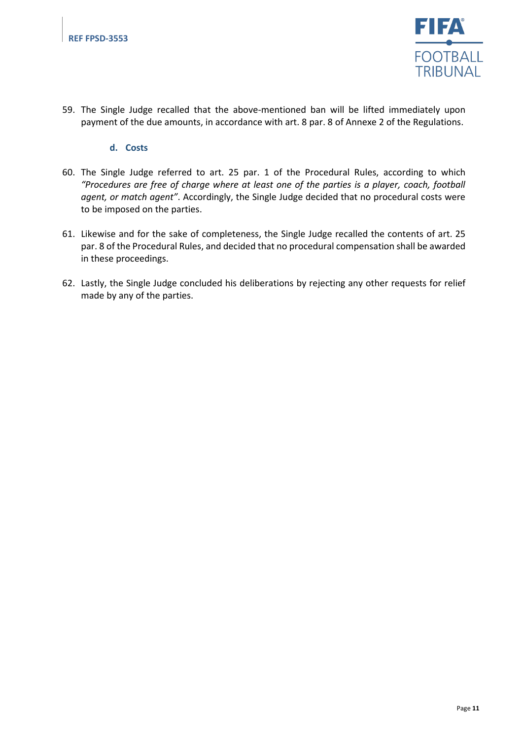

59. The Single Judge recalled that the above-mentioned ban will be lifted immediately upon payment of the due amounts, in accordance with art. 8 par. 8 of Annexe 2 of the Regulations.

#### **d. Costs**

- 60. The Single Judge referred to art. 25 par. 1 of the Procedural Rules, according to which *"Procedures are free of charge where at least one of the parties is a player, coach, football agent, or match agent"*. Accordingly, the Single Judge decided that no procedural costs were to be imposed on the parties.
- 61. Likewise and for the sake of completeness, the Single Judge recalled the contents of art. 25 par. 8 of the Procedural Rules, and decided that no procedural compensation shall be awarded in these proceedings.
- 62. Lastly, the Single Judge concluded his deliberations by rejecting any other requests for relief made by any of the parties.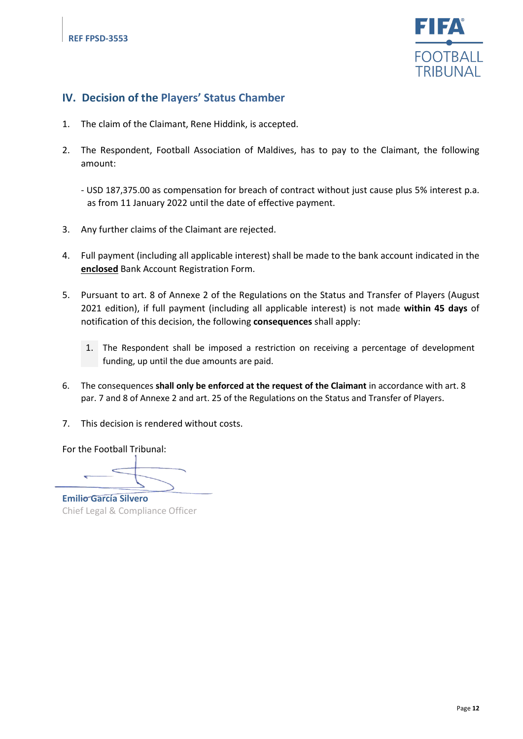

## **IV. Decision of the Players' Status Chamber**

- 1. The claim of the Claimant, Rene Hiddink, is accepted.
- 2. The Respondent, Football Association of Maldives, has to pay to the Claimant, the following amount:

- USD 187,375.00 as compensation for breach of contract without just cause plus 5% interest p.a. as from 11 January 2022 until the date of effective payment.

- 3. Any further claims of the Claimant are rejected.
- 4. Full payment (including all applicable interest) shall be made to the bank account indicated in the **enclosed** Bank Account Registration Form.
- 5. Pursuant to art. 8 of Annexe 2 of the Regulations on the Status and Transfer of Players (August 2021 edition), if full payment (including all applicable interest) is not made **within 45 days** of notification of this decision, the following **consequences** shall apply:
	- 1. The Respondent shall be imposed a restriction on receiving a percentage of development funding, up until the due amounts are paid.
- 6. The consequences **shall only be enforced at the request of the Claimant** in accordance with art. 8 par. 7 and 8 of Annexe 2 and art. 25 of the Regulations on the Status and Transfer of Players.
- 7. This decision is rendered without costs.

For the Football Tribunal:

**Emilio García Silvero** Chief Legal & Compliance Officer